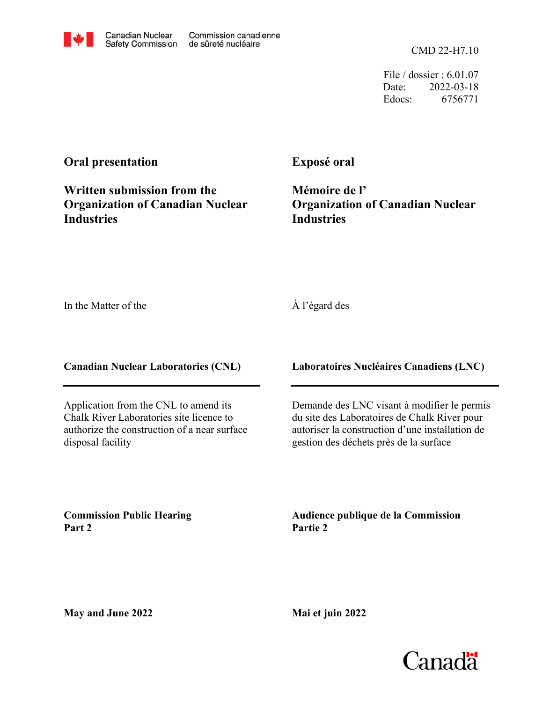File / dossier : 6.01.07 Date: 2022-03-18 Edocs: 6756771

## **Oral presentation**

**Written submission from the Organization of Canadian Nuclear Industries**

## **Exposé oral**

**Mémoire de l' Organization of Canadian Nuclear Industries**

In the Matter of the

## À l'égard des

**Canadian Nuclear Laboratories (CNL)**

Application from the CNL to amend its Chalk River Laboratories site licence to authorize the construction of a near surface disposal facility

**Laboratoires Nucléaires Canadiens (LNC)**

Demande des LNC visant à modifier le permis du site des Laboratoires de Chalk River pour autoriser la construction d'une installation de gestion des déchets près de la surface

**Commission Public Hearing Part 2**

**Audience publique de la Commission Partie 2**

**May and June 2022**



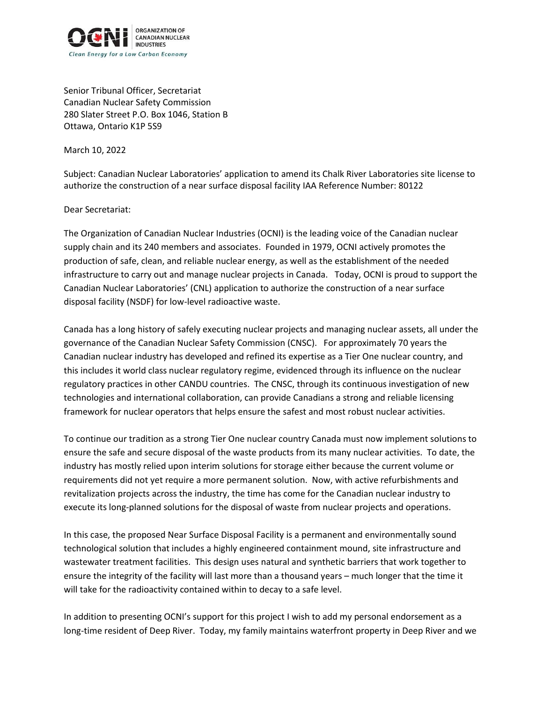

Senior Tribunal Officer, Secretariat Canadian Nuclear Safety Commission 280 Slater Street P.O. Box 1046, Station B Ottawa, Ontario K1P 5S9

March 10, 2022

Subject: Canadian Nuclear Laboratories' application to amend its Chalk River Laboratories site license to authorize the construction of a near surface disposal facility IAA Reference Number: 80122

Dear Secretariat:

The Organization of Canadian Nuclear Industries (OCNI) is the leading voice of the Canadian nuclear supply chain and its 240 members and associates. Founded in 1979, OCNI actively promotes the production of safe, clean, and reliable nuclear energy, as well as the establishment of the needed infrastructure to carry out and manage nuclear projects in Canada. Today, OCNI is proud to support the Canadian Nuclear Laboratories' (CNL) application to authorize the construction of a near surface disposal facility (NSDF) for low-level radioactive waste.

Canada has a long history of safely executing nuclear projects and managing nuclear assets, all under the governance of the Canadian Nuclear Safety Commission (CNSC). For approximately 70 years the Canadian nuclear industry has developed and refined its expertise as a Tier One nuclear country, and this includes it world class nuclear regulatory regime, evidenced through its influence on the nuclear regulatory practices in other CANDU countries. The CNSC, through its continuous investigation of new technologies and international collaboration, can provide Canadians a strong and reliable licensing framework for nuclear operators that helps ensure the safest and most robust nuclear activities.

To continue our tradition as a strong Tier One nuclear country Canada must now implement solutions to ensure the safe and secure disposal of the waste products from its many nuclear activities. To date, the industry has mostly relied upon interim solutions for storage either because the current volume or requirements did not yet require a more permanent solution. Now, with active refurbishments and revitalization projects across the industry, the time has come for the Canadian nuclear industry to execute its long-planned solutions for the disposal of waste from nuclear projects and operations.

In this case, the proposed Near Surface Disposal Facility is a permanent and environmentally sound technological solution that includes a highly engineered containment mound, site infrastructure and wastewater treatment facilities. This design uses natural and synthetic barriers that work together to ensure the integrity of the facility will last more than a thousand years – much longer that the time it will take for the radioactivity contained within to decay to a safe level.

In addition to presenting OCNI's support for this project I wish to add my personal endorsement as a long-time resident of Deep River. Today, my family maintains waterfront property in Deep River and we